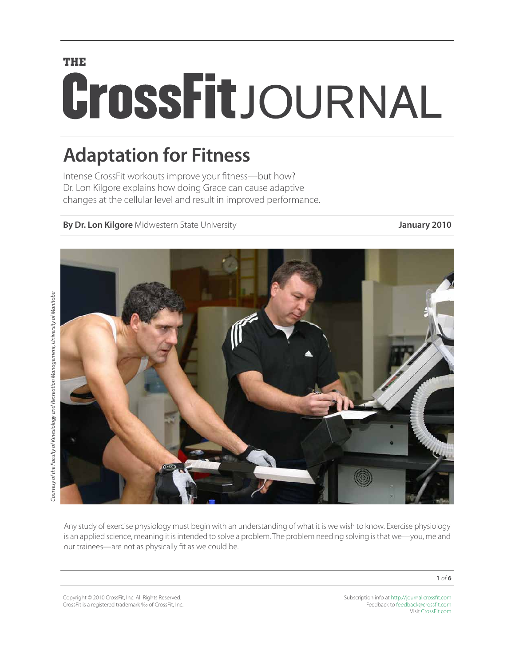# **THE** CrossFitJOURNAL

# **Adaptation for Fitness**

Intense CrossFit workouts improve your fitness—but how? Dr. Lon Kilgore explains how doing Grace can cause adaptive changes at the cellular level and result in improved performance.

**By Dr. Lon Kilgore** Midwestern State University **January 2010** 



Any study of exercise physiology must begin with an understanding of what it is we wish to know. Exercise physiology is an applied science, meaning it is intended to solve a problem. The problem needing solving is that we—you, me and our trainees—are not as physically fit as we could be.

Copyright © 2010 CrossFit, Inc. All Rights Reserved. CrossFit is a registered trademark ‰ of CrossFit, Inc. Subscription info at <http://journal.crossfit.com> Feedback to [feedback@crossfit.com](mailto:feedback@crossfit.com) Visit [CrossFit.com](http://www.crossfit.com)

**1** *of* **6**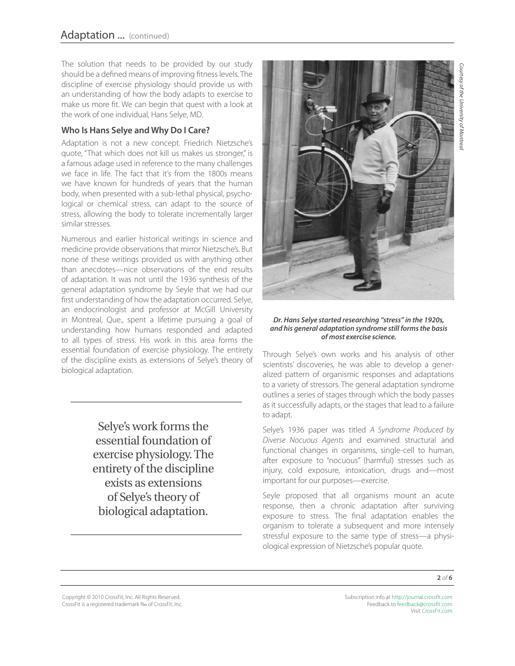The solution that needs to be provided by our study should be a defined means of improving fitness levels. The discipline of exercise physiology should provide us with an understanding of how the body adapts to exercise to make us more fit. We can begin that quest with a look at the work of one individual, Hans Selye, MD.

# **Who Is Hans Selye and Why Do I Care?**

Adaptation is not a new concept. Friedrich Nietzsche's quote, "That which does not kill us makes us stronger," is a famous adage used in reference to the many challenges we face in life. The fact that it's from the 1800s means we have known for hundreds of years that the human body, when presented with a sub-lethal physical, psychological or chemical stress, can adapt to the source of stress, allowing the body to tolerate incrementally larger similar stresses.

Numerous and earlier historical writings in science and medicine provide observations that mirror Nietzsche's. But none of these writings provided us with anything other than anecdotes—nice observations of the end results of adaptation. It was not until the 1936 synthesis of the general adaptation syndrome by Seyle that we had our first understanding of how the adaptation occurred. Selye, an endocrinologist and professor at McGill University in Montreal, Que., spent a lifetime pursuing a goal of understanding how humans responded and adapted to all types of stress. His work in this area forms the essential foundation of exercise physiology. The entirety of the discipline exists as extensions of Selye's theory of biological adaptation.

> Selye's work forms the essential foundation of exercise physiology. The entirety of the discipline exists as extensions of Selye's theory of biological adaptation.



#### *Dr. Hans Selye started researching "stress" in the 1920s, and his general adaptation syndrome still forms the basis of most exercise science.*

Through Selye's own works and his analysis of other scientists' discoveries, he was able to develop a generalized pattern of organismic responses and adaptations to a variety of stressors. The general adaptation syndrome outlines a series of stages through which the body passes as it successfully adapts, or the stages that lead to a failure to adapt.

Selye's 1936 paper was titled *A Syndrome Produced by Diverse Nocuous Agents* and examined structural and functional changes in organisms, single-cell to human, after exposure to "nocuous" (harmful) stresses such as injury, cold exposure, intoxication, drugs and—most important for our purposes—exercise.

Seyle proposed that all organisms mount an acute response, then a chronic adaptation after surviving exposure to stress. The final adaptation enables the organism to tolerate a subsequent and more intensely stressful exposure to the same type of stress—a physiological expression of Nietzsche's popular quote.

**2** *of* **6**

Copyright © 2010 CrossFit, Inc. All Rights Reserved. CrossFit is a registered trademark ‰ of CrossFit, Inc.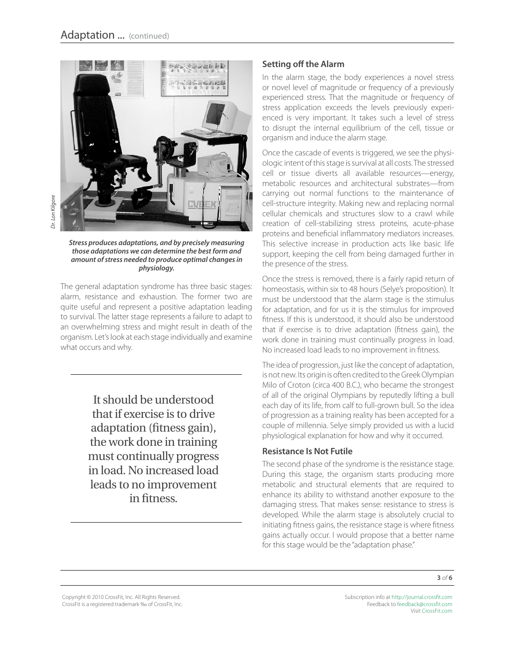

*Stress produces adaptations, and by precisely measuring those adaptations we can determine the best form and amount of stress needed to produce optimal changes in physiology.*

The general adaptation syndrome has three basic stages: alarm, resistance and exhaustion. The former two are quite useful and represent a positive adaptation leading to survival. The latter stage represents a failure to adapt to an overwhelming stress and might result in death of the organism. Let's look at each stage individually and examine what occurs and why.

> It should be understood that if exercise is to drive adaptation (fitness gain), the work done in training must continually progress in load. No increased load leads to no improvement in fitness.

# **Setting off the Alarm**

In the alarm stage, the body experiences a novel stress or novel level of magnitude or frequency of a previously experienced stress. That the magnitude or frequency of stress application exceeds the levels previously experienced is very important. It takes such a level of stress to disrupt the internal equilibrium of the cell, tissue or organism and induce the alarm stage.

Once the cascade of events is triggered, we see the physiologic intent of this stage is survival at all costs. The stressed cell or tissue diverts all available resources—energy, metabolic resources and architectural substrates—from carrying out normal functions to the maintenance of cell-structure integrity. Making new and replacing normal cellular chemicals and structures slow to a crawl while creation of cell-stabilizing stress proteins, acute-phase proteins and beneficial inflammatory mediators increases. This selective increase in production acts like basic life support, keeping the cell from being damaged further in the presence of the stress.

Once the stress is removed, there is a fairly rapid return of homeostasis, within six to 48 hours (Selye's proposition). It must be understood that the alarm stage is the stimulus for adaptation, and for us it is the stimulus for improved fitness. If this is understood, it should also be understood that if exercise is to drive adaptation (fitness gain), the work done in training must continually progress in load. No increased load leads to no improvement in fitness.

The idea of progression, just like the concept of adaptation, is not new. Its origin is often credited to the Greek Olympian Milo of Croton (circa 400 B.C.), who became the strongest of all of the original Olympians by reputedly lifting a bull each day of its life, from calf to full-grown bull. So the idea of progression as a training reality has been accepted for a couple of millennia. Selye simply provided us with a lucid physiological explanation for how and why it occurred.

# **Resistance Is Not Futile**

The second phase of the syndrome is the resistance stage. During this stage, the organism starts producing more metabolic and structural elements that are required to enhance its ability to withstand another exposure to the damaging stress. That makes sense: resistance to stress is developed. While the alarm stage is absolutely crucial to initiating fitness gains, the resistance stage is where fitness gains actually occur. I would propose that a better name for this stage would be the "adaptation phase."

Copyright © 2010 CrossFit, Inc. All Rights Reserved. CrossFit is a registered trademark ‰ of CrossFit, Inc. Subscription info at <http://journal.crossfit.com> Feedback to [feedback@crossfit.com](mailto:feedback@crossfit.com) Visit [CrossFit.com](http://www.westside-barbell.com/)

**3** *of* **6**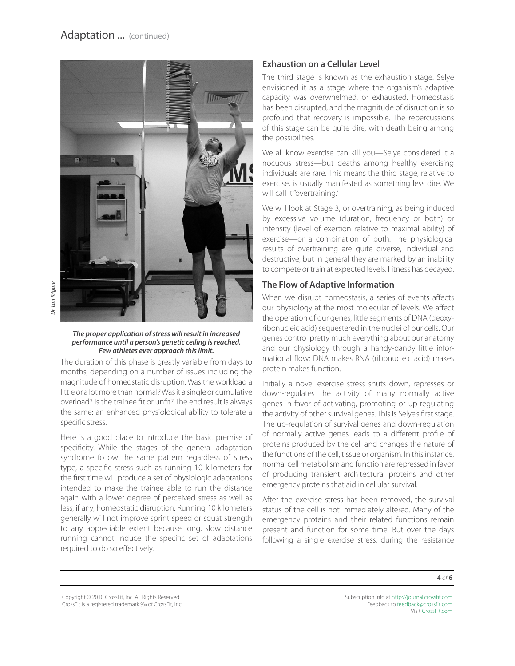

#### *The proper application of stress will result in increased performance until a person's genetic ceiling is reached. Few athletes ever approach this limit.*

The duration of this phase is greatly variable from days to months, depending on a number of issues including the magnitude of homeostatic disruption. Was the workload a little or a lot more than normal? Was it a single or cumulative overload? Is the trainee fit or unfit? The end result is always the same: an enhanced physiological ability to tolerate a specific stress.

Here is a good place to introduce the basic premise of specificity. While the stages of the general adaptation syndrome follow the same pattern regardless of stress type, a specific stress such as running 10 kilometers for the first time will produce a set of physiologic adaptations intended to make the trainee able to run the distance again with a lower degree of perceived stress as well as less, if any, homeostatic disruption. Running 10 kilometers generally will not improve sprint speed or squat strength to any appreciable extent because long, slow distance running cannot induce the specific set of adaptations required to do so effectively.

# **Exhaustion on a Cellular Level**

The third stage is known as the exhaustion stage. Selye envisioned it as a stage where the organism's adaptive capacity was overwhelmed, or exhausted. Homeostasis has been disrupted, and the magnitude of disruption is so profound that recovery is impossible. The repercussions of this stage can be quite dire, with death being among the possibilities.

We all know exercise can kill you—Selye considered it a nocuous stress—but deaths among healthy exercising individuals are rare. This means the third stage, relative to exercise, is usually manifested as something less dire. We will call it "overtraining."

We will look at Stage 3, or overtraining, as being induced by excessive volume (duration, frequency or both) or intensity (level of exertion relative to maximal ability) of exercise—or a combination of both. The physiological results of overtraining are quite diverse, individual and destructive, but in general they are marked by an inability to compete or train at expected levels. Fitness has decayed.

# **The Flow of Adaptive Information**

When we disrupt homeostasis, a series of events affects our physiology at the most molecular of levels. We affect the operation of our genes, little segments of DNA (deoxyribonucleic acid) sequestered in the nuclei of our cells. Our genes control pretty much everything about our anatomy and our physiology through a handy-dandy little informational flow: DNA makes RNA (ribonucleic acid) makes protein makes function.

Initially a novel exercise stress shuts down, represses or down-regulates the activity of many normally active genes in favor of activating, promoting or up-regulating the activity of other survival genes. This is Selye's first stage. The up-regulation of survival genes and down-regulation of normally active genes leads to a different profile of proteins produced by the cell and changes the nature of the functions of the cell, tissue or organism. In this instance, normal cell metabolism and function are repressed in favor of producing transient architectural proteins and other emergency proteins that aid in cellular survival.

After the exercise stress has been removed, the survival status of the cell is not immediately altered. Many of the emergency proteins and their related functions remain present and function for some time. But over the days following a single exercise stress, during the resistance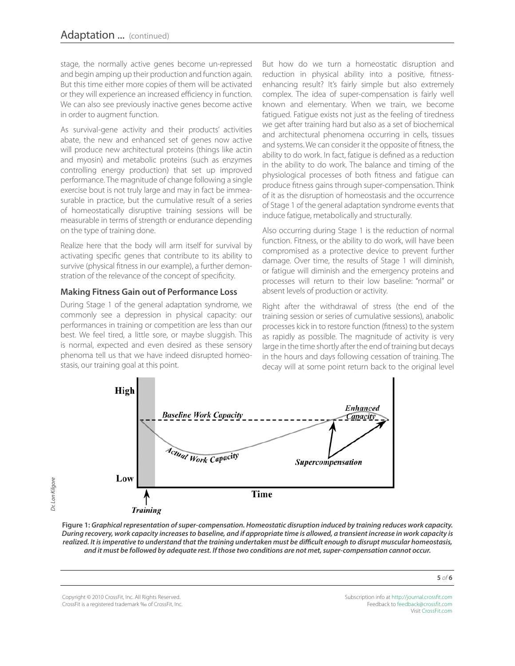stage, the normally active genes become un-repressed and begin amping up their production and function again. But this time either more copies of them will be activated or they will experience an increased efficiency in function. We can also see previously inactive genes become active in order to augment function.

As survival-gene activity and their products' activities abate, the new and enhanced set of genes now active will produce new architectural proteins (things like actin and myosin) and metabolic proteins (such as enzymes controlling energy production) that set up improved performance. The magnitude of change following a single exercise bout is not truly large and may in fact be immeasurable in practice, but the cumulative result of a series of homeostatically disruptive training sessions will be measurable in terms of strength or endurance depending on the type of training done.

Realize here that the body will arm itself for survival by activating specific genes that contribute to its ability to survive (physical fitness in our example), a further demonstration of the relevance of the concept of specificity.

## **Making Fitness Gain out of Performance Loss**

During Stage 1 of the general adaptation syndrome, we commonly see a depression in physical capacity: our performances in training or competition are less than our best. We feel tired, a little sore, or maybe sluggish. This is normal, expected and even desired as these sensory phenoma tell us that we have indeed disrupted homeostasis, our training goal at this point.

But how do we turn a homeostatic disruption and reduction in physical ability into a positive, fitnessenhancing result? It's fairly simple but also extremely complex. The idea of super-compensation is fairly well known and elementary. When we train, we become fatigued. Fatigue exists not just as the feeling of tiredness we get after training hard but also as a set of biochemical and architectural phenomena occurring in cells, tissues and systems. We can consider it the opposite of fitness, the ability to do work. In fact, fatigue is defined as a reduction in the ability to do work. The balance and timing of the physiological processes of both fitness and fatigue can produce fitness gains through super-compensation. Think of it as the disruption of homeostasis and the occurrence of Stage 1 of the general adaptation syndrome events that induce fatigue, metabolically and structurally.

Also occurring during Stage 1 is the reduction of normal function. Fitness, or the ability to do work, will have been compromised as a protective device to prevent further damage. Over time, the results of Stage 1 will diminish, or fatigue will diminish and the emergency proteins and processes will return to their low baseline: "normal" or absent levels of production or activity.

Right after the withdrawal of stress (the end of the training session or series of cumulative sessions), anabolic processes kick in to restore function (fitness) to the system as rapidly as possible. The magnitude of activity is very large in the time shortly after the end of training but decays in the hours and days following cessation of training. The decay will at some point return back to the original level



**Figure 1:** *Graphical representation of super-compensation. Homeostatic disruption induced by training reduces work capacity. During recovery, work capacity increases to baseline, and if appropriate time is allowed, a transient increase in work capacity is realized. It is imperative to understand that the training undertaken must be difficult enough to disrupt muscular homeostasis, and it must be followed by adequate rest. If those two conditions are not met, super-compensation cannot occur.*

Copyright © 2010 CrossFit, Inc. All Rights Reserved. CrossFit is a registered trademark ‰ of CrossFit, Inc.